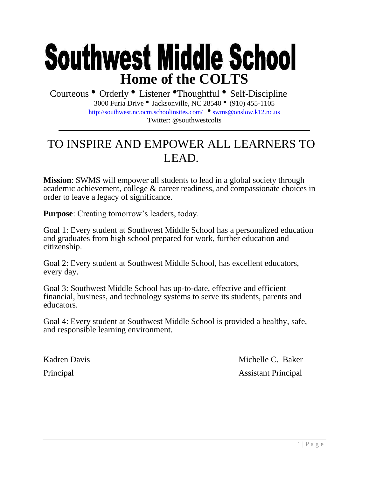# **Southwest Middle School Home of the COLTS**

Courteous • Orderly • Listener •Thoughtful • Self-Discipline 3000 Furia Drive • Jacksonville, NC 28540 • (910) 455-1105 <http://southwest.nc.ocm.schoolinsites.com/> • [swms@onslow.k12.nc.us](mailto:_swms@onslow.k12.nc.us) Twitter: @southwestcolts

# TO INSPIRE AND EMPOWER ALL LEARNERS TO LEAD.

**Mission**: SWMS will empower all students to lead in a global society through academic achievement, college & career readiness, and compassionate choices in order to leave a legacy of significance.

**Purpose**: Creating tomorrow's leaders, today.

Goal 1: Every student at Southwest Middle School has a personalized education and graduates from high school prepared for work, further education and citizenship.

Goal 2: Every student at Southwest Middle School, has excellent educators, every day.

Goal 3: Southwest Middle School has up-to-date, effective and efficient financial, business, and technology systems to serve its students, parents and educators.

Goal 4: Every student at Southwest Middle School is provided a healthy, safe, and responsible learning environment.

Kadren Davis Michelle C. Baker Principal Assistant Principal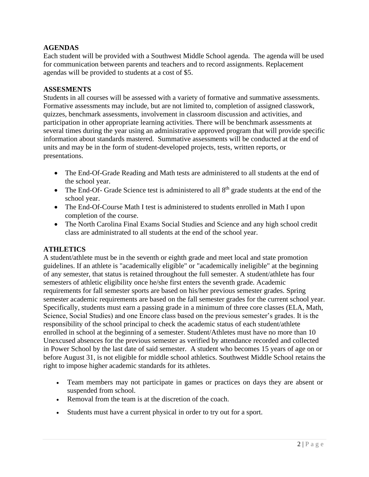# **AGENDAS**

Each student will be provided with a Southwest Middle School agenda. The agenda will be used for communication between parents and teachers and to record assignments. Replacement agendas will be provided to students at a cost of \$5.

### **ASSESMENTS**

Students in all courses will be assessed with a variety of formative and summative assessments. Formative assessments may include, but are not limited to, completion of assigned classwork, quizzes, benchmark assessments, involvement in classroom discussion and activities, and participation in other appropriate learning activities. There will be benchmark assessments at several times during the year using an administrative approved program that will provide specific information about standards mastered. Summative assessments will be conducted at the end of units and may be in the form of student-developed projects, tests, written reports, or presentations.

- The End-Of-Grade Reading and Math tests are administered to all students at the end of the school year.
- The End-Of- Grade Science test is administered to all  $8<sup>th</sup>$  grade students at the end of the school year.
- The End-Of-Course Math I test is administered to students enrolled in Math I upon completion of the course.
- The North Carolina Final Exams Social Studies and Science and any high school credit class are administrated to all students at the end of the school year.

# **ATHLETICS**

A student/athlete must be in the seventh or eighth grade and meet local and state promotion guidelines. If an athlete is "academically eligible" or "academically ineligible" at the beginning of any semester, that status is retained throughout the full semester. A student/athlete has four semesters of athletic eligibility once he/she first enters the seventh grade. Academic requirements for fall semester sports are based on his/her previous semester grades. Spring semester academic requirements are based on the fall semester grades for the current school year. Specifically, students must earn a passing grade in a minimum of three core classes (ELA, Math, Science, Social Studies) and one Encore class based on the previous semester's grades. It is the responsibility of the school principal to check the academic status of each student/athlete enrolled in school at the beginning of a semester. Student/Athletes must have no more than 10 Unexcused absences for the previous semester as verified by attendance recorded and collected in Power School by the last date of said semester. A student who becomes 15 years of age on or before August 31, is not eligible for middle school athletics. Southwest Middle School retains the right to impose higher academic standards for its athletes.

- Team members may not participate in games or practices on days they are absent or suspended from school.
- Removal from the team is at the discretion of the coach.
- Students must have a current physical in order to try out for a sport.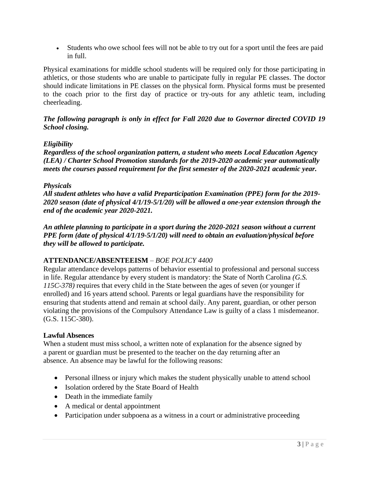• Students who owe school fees will not be able to try out for a sport until the fees are paid in full.

Physical examinations for middle school students will be required only for those participating in athletics, or those students who are unable to participate fully in regular PE classes. The doctor should indicate limitations in PE classes on the physical form. Physical forms must be presented to the coach prior to the first day of practice or try-outs for any athletic team, including cheerleading.

*The following paragraph is only in effect for Fall 2020 due to Governor directed COVID 19 School closing.*

#### *Eligibility*

*Regardless of the school organization pattern, a student who meets Local Education Agency (LEA) / Charter School Promotion standards for the 2019-2020 academic year automatically meets the courses passed requirement for the first semester of the 2020-2021 academic year.*

#### *Physicals*

*All student athletes who have a valid Preparticipation Examination (PPE) form for the 2019- 2020 season (date of physical 4/1/19-5/1/20) will be allowed a one-year extension through the end of the academic year 2020-2021.* 

*An athlete planning to participate in a sport during the 2020-2021 season without a current PPE form (date of physical 4/1/19-5/1/20) will need to obtain an evaluation/physical before they will be allowed to participate.*

# **ATTENDANCE/ABSENTEEISM** – *BOE POLICY 4400*

Regular attendance develops patterns of behavior essential to professional and personal success in life. Regular attendance by every student is mandatory: the State of North Carolina *(G.S. 115C-378)* requires that every child in the State between the ages of seven (or younger if enrolled) and 16 years attend school. Parents or legal guardians have the responsibility for ensuring that students attend and remain at school daily. Any parent, guardian, or other person violating the provisions of the Compulsory Attendance Law is guilty of a class 1 misdemeanor. (G.S. 115C-380).

#### **Lawful Absences**

When a student must miss school, a written note of explanation for the absence signed by a parent or guardian must be presented to the teacher on the day returning after an absence. An absence may be lawful for the following reasons:

- Personal illness or injury which makes the student physically unable to attend school
- Isolation ordered by the State Board of Health
- Death in the immediate family
- A medical or dental appointment
- Participation under subpoena as a witness in a court or administrative proceeding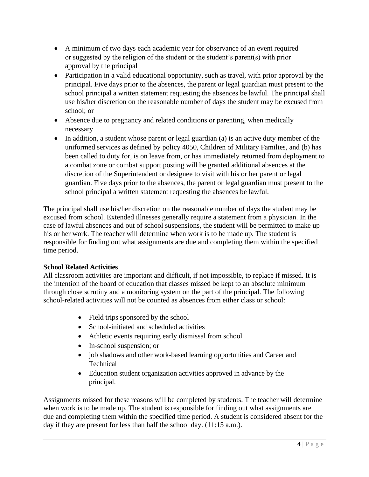- A minimum of two days each academic year for observance of an event required or suggested by the religion of the student or the student's parent(s) with prior approval by the principal
- Participation in a valid educational opportunity, such as travel, with prior approval by the principal. Five days prior to the absences, the parent or legal guardian must present to the school principal a written statement requesting the absences be lawful. The principal shall use his/her discretion on the reasonable number of days the student may be excused from school; or
- Absence due to pregnancy and related conditions or parenting, when medically necessary.
- In addition, a student whose parent or legal guardian (a) is an active duty member of the uniformed services as defined by policy 4050, Children of Military Families, and (b) has been called to duty for, is on leave from, or has immediately returned from deployment to a combat zone or combat support posting will be granted additional absences at the discretion of the Superintendent or designee to visit with his or her parent or legal guardian. Five days prior to the absences, the parent or legal guardian must present to the school principal a written statement requesting the absences be lawful.

The principal shall use his/her discretion on the reasonable number of days the student may be excused from school. Extended illnesses generally require a statement from a physician. In the case of lawful absences and out of school suspensions, the student will be permitted to make up his or her work. The teacher will determine when work is to be made up. The student is responsible for finding out what assignments are due and completing them within the specified time period.

# **School Related Activities**

All classroom activities are important and difficult, if not impossible, to replace if missed. It is the intention of the board of education that classes missed be kept to an absolute minimum through close scrutiny and a monitoring system on the part of the principal. The following school-related activities will not be counted as absences from either class or school:

- Field trips sponsored by the school
- School-initiated and scheduled activities
- Athletic events requiring early dismissal from school
- In-school suspension; or
- job shadows and other work-based learning opportunities and Career and Technical
- Education student organization activities approved in advance by the principal.

Assignments missed for these reasons will be completed by students. The teacher will determine when work is to be made up. The student is responsible for finding out what assignments are due and completing them within the specified time period. A student is considered absent for the day if they are present for less than half the school day. (11:15 a.m.).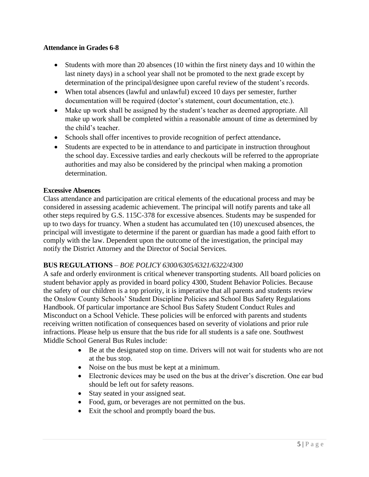### **Attendance in Grades 6-8**

- Students with more than 20 absences (10 within the first ninety days and 10 within the last ninety days) in a school year shall not be promoted to the next grade except by determination of the principal/designee upon careful review of the student's records.
- When total absences (lawful and unlawful) exceed 10 days per semester, further documentation will be required (doctor's statement, court documentation, etc.).
- Make up work shall be assigned by the student's teacher as deemed appropriate. All make up work shall be completed within a reasonable amount of time as determined by the child's teacher.
- Schools shall offer incentives to provide recognition of perfect attendance**.**
- Students are expected to be in attendance to and participate in instruction throughout the school day. Excessive tardies and early checkouts will be referred to the appropriate authorities and may also be considered by the principal when making a promotion determination.

#### **Excessive Absences**

Class attendance and participation are critical elements of the educational process and may be considered in assessing academic achievement. The principal will notify parents and take all other steps required by G.S. 115C-378 for excessive absences. Students may be suspended for up to two days for truancy. When a student has accumulated ten (10) unexcused absences, the principal will investigate to determine if the parent or guardian has made a good faith effort to comply with the law. Dependent upon the outcome of the investigation, the principal may notify the District Attorney and the Director of Social Services.

# **BUS REGULATIONS** – *BOE POLICY 6300/6305/6321/6322/4300*

A safe and orderly environment is critical whenever transporting students. All board policies on student behavior apply as provided in board policy 4300, Student Behavior Policies. Because the safety of our children is a top priority, it is imperative that all parents and students review the Onslow County Schools' Student Discipline Policies and School Bus Safety Regulations Handbook. Of particular importance are School Bus Safety Student Conduct Rules and Misconduct on a School Vehicle. These policies will be enforced with parents and students receiving written notification of consequences based on severity of violations and prior rule infractions. Please help us ensure that the bus ride for all students is a safe one. Southwest Middle School General Bus Rules include:

- Be at the designated stop on time. Drivers will not wait for students who are not at the bus stop.
- Noise on the bus must be kept at a minimum.
- Electronic devices may be used on the bus at the driver's discretion. One ear bud should be left out for safety reasons.
- Stay seated in your assigned seat.
- Food, gum, or beverages are not permitted on the bus.
- Exit the school and promptly board the bus.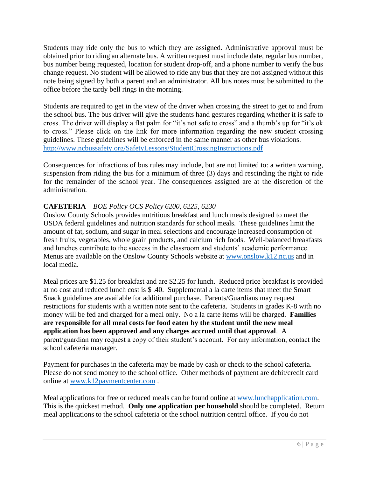Students may ride only the bus to which they are assigned. Administrative approval must be obtained prior to riding an alternate bus. A written request must include date, regular bus number, bus number being requested, location for student drop-off, and a phone number to verify the bus change request. No student will be allowed to ride any bus that they are not assigned without this note being signed by both a parent and an administrator. All bus notes must be submitted to the office before the tardy bell rings in the morning.

Students are required to get in the view of the driver when crossing the street to get to and from the school bus. The bus driver will give the students hand gestures regarding whether it is safe to cross. The driver will display a flat palm for "it's not safe to cross" and a thumb's up for "it's ok to cross." Please click on the link for more information regarding the new student crossing guidelines. These guidelines will be enforced in the same manner as other bus violations. <http://www.ncbussafety.org/SafetyLessons/StudentCrossingInstructions.pdf>

Consequences for infractions of bus rules may include, but are not limited to: a written warning, suspension from riding the bus for a minimum of three (3) days and rescinding the right to ride for the remainder of the school year. The consequences assigned are at the discretion of the administration.

# **CAFETERIA** – *BOE Policy OCS Policy 6200, 6225, 6230*

Onslow County Schools provides nutritious breakfast and lunch meals designed to meet the USDA federal guidelines and nutrition standards for school meals. These guidelines limit the amount of fat, sodium, and sugar in meal selections and encourage increased consumption of fresh fruits, vegetables, whole grain products, and calcium rich foods. Well-balanced breakfasts and lunches contribute to the success in the classroom and students' academic performance. Menus are available on the Onslow County Schools website at [www.onslow.k12.nc.us](http://www.onslow.k12.nc.us/) and in local media.

Meal prices are \$1.25 for breakfast and are \$2.25 for lunch. Reduced price breakfast is provided at no cost and reduced lunch cost is \$ .40. Supplemental a la carte items that meet the Smart Snack guidelines are available for additional purchase. Parents/Guardians may request restrictions for students with a written note sent to the cafeteria. Students in grades K-8 with no money will be fed and charged for a meal only. No a la carte items will be charged. **Families are responsible for all meal costs for food eaten by the student until the new meal application has been approved and any charges accrued until that approval**. A parent/guardian may request a copy of their student's account. For any information, contact the school cafeteria manager.

Payment for purchases in the cafeteria may be made by cash or check to the school cafeteria. Please do not send money to the school office. Other methods of payment are debit/credit card online at [www.k12paymentcenter.com](http://www.k12paymentcenter.com/) .

Meal applications for free or reduced meals can be found online at [www.lunchapplication.com.](http://www.lunchapplication.com/) This is the quickest method. **Only one application per household** should be completed. Return meal applications to the school cafeteria or the school nutrition central office. If you do not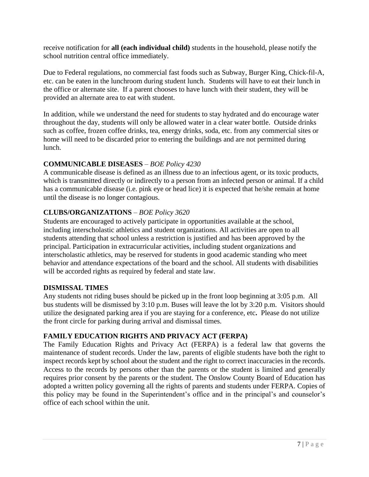receive notification for **all (each individual child)** students in the household, please notify the school nutrition central office immediately.

Due to Federal regulations, no commercial fast foods such as Subway, Burger King, Chick-fil-A, etc. can be eaten in the lunchroom during student lunch. Students will have to eat their lunch in the office or alternate site. If a parent chooses to have lunch with their student, they will be provided an alternate area to eat with student.

In addition, while we understand the need for students to stay hydrated and do encourage water throughout the day, students will only be allowed water in a clear water bottle. Outside drinks such as coffee, frozen coffee drinks, tea, energy drinks, soda, etc. from any commercial sites or home will need to be discarded prior to entering the buildings and are not permitted during lunch.

# **COMMUNICABLE DISEASES** – *BOE Policy 4230*

A communicable disease is defined as an illness due to an infectious agent, or its toxic products, which is transmitted directly or indirectly to a person from an infected person or animal. If a child has a communicable disease (i.e. pink eye or head lice) it is expected that he/she remain at home until the disease is no longer contagious.

# **CLUBS/ORGANIZATIONS** – *BOE Policy 3620*

Students are encouraged to actively participate in opportunities available at the school, including interscholastic athletics and student organizations. All activities are open to all students attending that school unless a restriction is justified and has been approved by the principal. Participation in extracurricular activities, including student organizations and interscholastic athletics, may be reserved for students in good academic standing who meet behavior and attendance expectations of the board and the school. All students with disabilities will be accorded rights as required by federal and state law.

# **DISMISSAL TIMES**

Any students not riding buses should be picked up in the front loop beginning at 3:05 p.m. All bus students will be dismissed by 3:10 p.m. Buses will leave the lot by 3:20 p.m. Visitors should utilize the designated parking area if you are staying for a conference, etc**.** Please do not utilize the front circle for parking during arrival and dismissal times.

# **FAMILY EDUCATION RIGHTS AND PRIVACY ACT (FERPA)**

The Family Education Rights and Privacy Act (FERPA) is a federal law that governs the maintenance of student records. Under the law, parents of eligible students have both the right to inspect records kept by school about the student and the right to correct inaccuracies in the records. Access to the records by persons other than the parents or the student is limited and generally requires prior consent by the parents or the student. The Onslow County Board of Education has adopted a written policy governing all the rights of parents and students under FERPA. Copies of this policy may be found in the Superintendent's office and in the principal's and counselor's office of each school within the unit.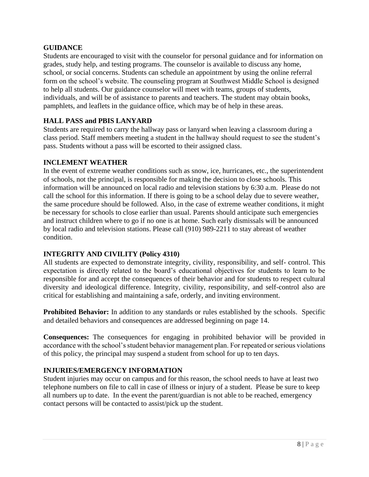# **GUIDANCE**

Students are encouraged to visit with the counselor for personal guidance and for information on grades, study help, and testing programs. The counselor is available to discuss any home, school, or social concerns. Students can schedule an appointment by using the online referral form on the school's website. The counseling program at Southwest Middle School is designed to help all students. Our guidance counselor will meet with teams, groups of students, individuals, and will be of assistance to parents and teachers. The student may obtain books, pamphlets, and leaflets in the guidance office, which may be of help in these areas.

# **HALL PASS and PBIS LANYARD**

Students are required to carry the hallway pass or lanyard when leaving a classroom during a class period. Staff members meeting a student in the hallway should request to see the student's pass. Students without a pass will be escorted to their assigned class.

# **INCLEMENT WEATHER**

In the event of extreme weather conditions such as snow, ice, hurricanes, etc., the superintendent of schools, not the principal, is responsible for making the decision to close schools. This information will be announced on local radio and television stations by 6:30 a.m. Please do not call the school for this information. If there is going to be a school delay due to severe weather, the same procedure should be followed. Also, in the case of extreme weather conditions, it might be necessary for schools to close earlier than usual. Parents should anticipate such emergencies and instruct children where to go if no one is at home. Such early dismissals will be announced by local radio and television stations. Please call (910) 989-2211 to stay abreast of weather condition.

# **INTEGRITY AND CIVILITY (Policy 4310)**

All students are expected to demonstrate integrity, civility, responsibility, and self- control. This expectation is directly related to the board's educational objectives for students to learn to be responsible for and accept the consequences of their behavior and for students to respect cultural diversity and ideological difference. Integrity, civility, responsibility, and self-control also are critical for establishing and maintaining a safe, orderly, and inviting environment.

**Prohibited Behavior:** In addition to any standards or rules established by the schools. Specific and detailed behaviors and consequences are addressed beginning on page 14.

**Consequences:** The consequences for engaging in prohibited behavior will be provided in accordance with the school's student behavior management plan. For repeated or serious violations of this policy, the principal may suspend a student from school for up to ten days.

# **INJURIES/EMERGENCY INFORMATION**

Student injuries may occur on campus and for this reason, the school needs to have at least two telephone numbers on file to call in case of illness or injury of a student. Please be sure to keep all numbers up to date. In the event the parent/guardian is not able to be reached, emergency contact persons will be contacted to assist/pick up the student.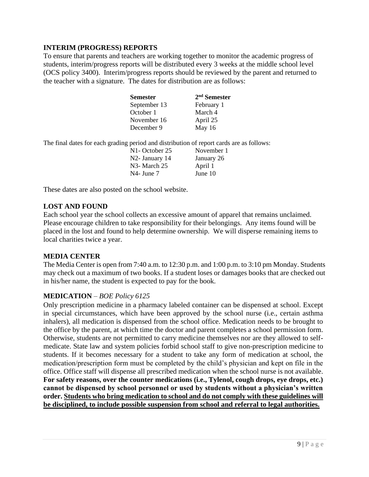# **INTERIM (PROGRESS) REPORTS**

To ensure that parents and teachers are working together to monitor the academic progress of students, interim/progress reports will be distributed every 3 weeks at the middle school level (OCS policy 3400). Interim/progress reports should be reviewed by the parent and returned to the teacher with a signature. The dates for distribution are as follows:

| <b>Semester</b> | $2nd$ Semester |
|-----------------|----------------|
| September 13    | February 1     |
| October 1       | March 4        |
| November 16     | April 25       |
| December 9      | May $16$       |

The final dates for each grading period and distribution of report cards are as follows:

| November 1 |
|------------|
| January 26 |
| April 1    |
| June $10$  |
|            |

These dates are also posted on the school website.

#### **LOST AND FOUND**

Each school year the school collects an excessive amount of apparel that remains unclaimed. Please encourage children to take responsibility for their belongings. Any items found will be placed in the lost and found to help determine ownership. We will disperse remaining items to local charities twice a year.

#### **MEDIA CENTER**

The Media Center is open from 7:40 a.m. to 12:30 p.m. and 1:00 p.m. to 3:10 pm Monday. Students may check out a maximum of two books. If a student loses or damages books that are checked out in his/her name, the student is expected to pay for the book.

#### **MEDICATION** – *BOE Policy 6125*

Only prescription medicine in a pharmacy labeled container can be dispensed at school. Except in special circumstances, which have been approved by the school nurse (i.e., certain asthma inhalers), all medication is dispensed from the school office. Medication needs to be brought to the office by the parent, at which time the doctor and parent completes a school permission form. Otherwise, students are not permitted to carry medicine themselves nor are they allowed to selfmedicate. State law and system policies forbid school staff to give non-prescription medicine to students. If it becomes necessary for a student to take any form of medication at school, the medication/prescription form must be completed by the child's physician and kept on file in the office. Office staff will dispense all prescribed medication when the school nurse is not available. **For safety reasons, over the counter medications (i.e., Tylenol, cough drops, eye drops, etc.) cannot be dispensed by school personnel or used by students without a physician's written order. Students who bring medication to school and do not comply with these guidelines will be disciplined, to include possible suspension from school and referral to legal authorities.**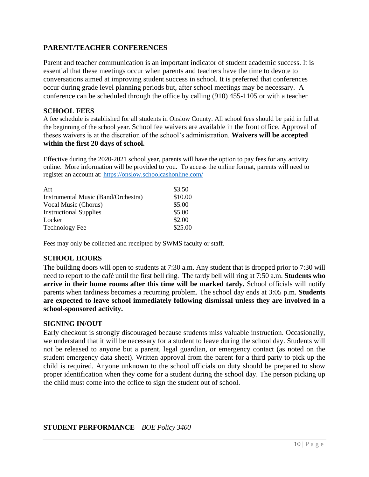# **PARENT/TEACHER CONFERENCES**

Parent and teacher communication is an important indicator of student academic success. It is essential that these meetings occur when parents and teachers have the time to devote to conversations aimed at improving student success in school. It is preferred that conferences occur during grade level planning periods but, after school meetings may be necessary. A conference can be scheduled through the office by calling (910) 455-1105 or with a teacher

### **SCHOOL FEES**

A fee schedule is established for all students in Onslow County. All school fees should be paid in full at the beginning of the school year. School fee waivers are available in the front office. Approval of theses waivers is at the discretion of the school's administration. **Waivers will be accepted within the first 20 days of school.** 

Effective during the 2020-2021 school year, parents will have the option to pay fees for any activity online. More information will be provided to you. To access the online format, parents will need to register an account at:<https://onslow.schoolcashonline.com/>

| Art                                        | \$3.50  |
|--------------------------------------------|---------|
| <b>Instrumental Music (Band/Orchestra)</b> | \$10.00 |
| Vocal Music (Chorus)                       | \$5.00  |
| <b>Instructional Supplies</b>              | \$5.00  |
| Locker                                     | \$2.00  |
| <b>Technology Fee</b>                      | \$25.00 |

Fees may only be collected and receipted by SWMS faculty or staff.

# **SCHOOL HOURS**

The building doors will open to students at 7:30 a.m. Any student that is dropped prior to 7:30 will need to report to the café until the first bell ring. The tardy bell will ring at 7:50 a.m. **Students who arrive in their home rooms after this time will be marked tardy.** School officials will notify parents when tardiness becomes a recurring problem. The school day ends at 3:05 p.m. **Students are expected to leave school immediately following dismissal unless they are involved in a school-sponsored activity.**

#### **SIGNING IN/OUT**

Early checkout is strongly discouraged because students miss valuable instruction. Occasionally, we understand that it will be necessary for a student to leave during the school day. Students will not be released to anyone but a parent, legal guardian, or emergency contact (as noted on the student emergency data sheet). Written approval from the parent for a third party to pick up the child is required. Anyone unknown to the school officials on duty should be prepared to show proper identification when they come for a student during the school day. The person picking up the child must come into the office to sign the student out of school.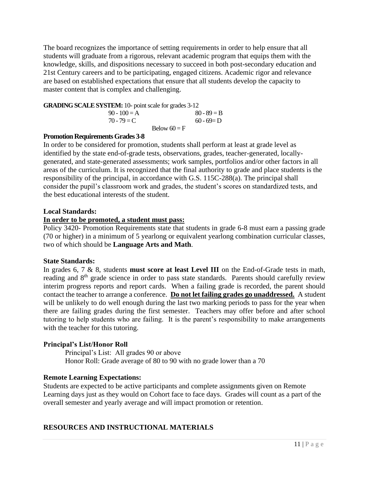The board recognizes the importance of setting requirements in order to help ensure that all students will graduate from a rigorous, relevant academic program that equips them with the knowledge, skills, and dispositions necessary to succeed in both post-secondary education and 21st Century careers and to be participating, engaged citizens. Academic rigor and relevance are based on established expectations that ensure that all students develop the capacity to master content that is complex and challenging.

#### **GRADING SCALE SYSTEM:** 10- point scale for grades 3-12

| $90 - 100 = A$ |                | $80 - 89 = B$ |
|----------------|----------------|---------------|
| $70 - 79 = C$  |                | $60 - 69 = D$ |
|                | Below $60 = F$ |               |

#### **Promotion Requirements Grades 3-8**

In order to be considered for promotion, students shall perform at least at grade level as identified by the state end-of-grade tests, observations, grades, teacher-generated, locallygenerated, and state-generated assessments; work samples, portfolios and/or other factors in all areas of the curriculum. It is recognized that the final authority to grade and place students is the responsibility of the principal, in accordance with G.S. 115C-288(a). The principal shall consider the pupil's classroom work and grades, the student's scores on standardized tests, and the best educational interests of the student.

#### **Local Standards:**

#### **In order to be promoted, a student must pass:**

Policy 3420- Promotion Requirements state that students in grade 6-8 must earn a passing grade (70 or higher) in a minimum of 5 yearlong or equivalent yearlong combination curricular classes, two of which should be **Language Arts and Math**.

#### **State Standards:**

In grades 6, 7 & 8, students **must score at least Level III** on the End-of-Grade tests in math, reading and 8<sup>th</sup> grade science in order to pass state standards. Parents should carefully review interim progress reports and report cards. When a failing grade is recorded, the parent should contact the teacher to arrange a conference. **Do not let failing grades go unaddressed.** A student will be unlikely to do well enough during the last two marking periods to pass for the year when there are failing grades during the first semester. Teachers may offer before and after school tutoring to help students who are failing. It is the parent's responsibility to make arrangements with the teacher for this tutoring.

#### **Principal's List/Honor Roll**

Principal's List: All grades 90 or above Honor Roll: Grade average of 80 to 90 with no grade lower than a 70

#### **Remote Learning Expectations:**

Students are expected to be active participants and complete assignments given on Remote Learning days just as they would on Cohort face to face days. Grades will count as a part of the overall semester and yearly average and will impact promotion or retention.

# **RESOURCES AND INSTRUCTIONAL MATERIALS**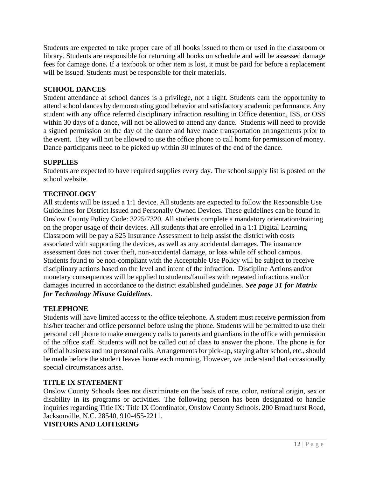Students are expected to take proper care of all books issued to them or used in the classroom or library. Students are responsible for returning all books on schedule and will be assessed damage fees for damage done**.** If a textbook or other item is lost, it must be paid for before a replacement will be issued. Students must be responsible for their materials.

# **SCHOOL DANCES**

Student attendance at school dances is a privilege, not a right. Students earn the opportunity to attend school dances by demonstrating good behavior and satisfactory academic performance. Any student with any office referred disciplinary infraction resulting in Office detention, ISS, or OSS within 30 days of a dance, will not be allowed to attend any dance. Students will need to provide a signed permission on the day of the dance and have made transportation arrangements prior to the event. They will not be allowed to use the office phone to call home for permission of money. Dance participants need to be picked up within 30 minutes of the end of the dance.

# **SUPPLIES**

Students are expected to have required supplies every day. The school supply list is posted on the school website.

# **TECHNOLOGY**

All students will be issued a 1:1 device. All students are expected to follow the Responsible Use Guidelines for District Issued and Personally Owned Devices. These guidelines can be found in Onslow County Policy Code: 3225/7320*.* All students complete a mandatory orientation/training on the proper usage of their devices. All students that are enrolled in a 1:1 Digital Learning Classroom will be pay a \$25 Insurance Assessment to help assist the district with costs associated with supporting the devices, as well as any accidental damages. The insurance assessment does not cover theft, non-accidental damage, or loss while off school campus. Students found to be non-compliant with the Acceptable Use Policy will be subject to receive disciplinary actions based on the level and intent of the infraction. Discipline Actions and/or monetary consequences will be applied to students/families with repeated infractions and/or damages incurred in accordance to the district established guidelines. *See page 31 for Matrix for Technology Misuse Guidelines*.

# **TELEPHONE**

Students will have limited access to the office telephone. A student must receive permission from his/her teacher and office personnel before using the phone. Students will be permitted to use their personal cell phone to make emergency calls to parents and guardians in the office with permission of the office staff. Students will not be called out of class to answer the phone. The phone is for official business and not personal calls. Arrangements for pick-up, staying after school, etc., should be made before the student leaves home each morning. However, we understand that occasionally special circumstances arise.

# **TITLE IX STATEMENT**

Onslow County Schools does not discriminate on the basis of race, color, national origin, sex or disability in its programs or activities. The following person has been designated to handle inquiries regarding Title IX: Title IX Coordinator, Onslow County Schools. 200 Broadhurst Road, Jacksonville, N.C. 28540, 910-455-2211.

# **VISITORS AND LOITERING**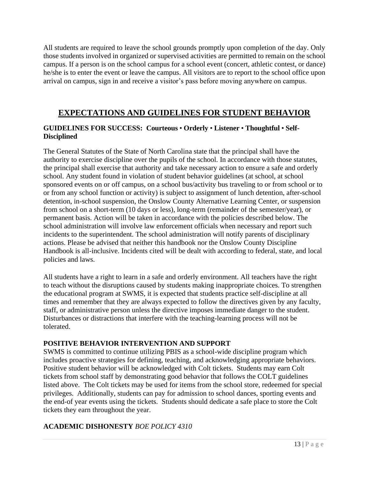All students are required to leave the school grounds promptly upon completion of the day. Only those students involved in organized or supervised activities are permitted to remain on the school campus. If a person is on the school campus for a school event (concert, athletic contest, or dance) he/she is to enter the event or leave the campus. All visitors are to report to the school office upon arrival on campus, sign in and receive a visitor's pass before moving anywhere on campus.

# **EXPECTATIONS AND GUIDELINES FOR STUDENT BEHAVIOR**

# **GUIDELINES FOR SUCCESS: Courteous** • **Orderly** • **Listener** • **Thoughtful** • **Self-Disciplined**

The General Statutes of the State of North Carolina state that the principal shall have the authority to exercise discipline over the pupils of the school. In accordance with those statutes, the principal shall exercise that authority and take necessary action to ensure a safe and orderly school. Any student found in violation of student behavior guidelines (at school, at school sponsored events on or off campus, on a school bus/activity bus traveling to or from school or to or from any school function or activity) is subject to assignment of lunch detention, after-school detention, in-school suspension, the Onslow County Alternative Learning Center, or suspension from school on a short-term (10 days or less), long-term (remainder of the semester/year), or permanent basis. Action will be taken in accordance with the policies described below. The school administration will involve law enforcement officials when necessary and report such incidents to the superintendent. The school administration will notify parents of disciplinary actions. Please be advised that neither this handbook nor the Onslow County Discipline Handbook is all-inclusive. Incidents cited will be dealt with according to federal, state, and local policies and laws.

All students have a right to learn in a safe and orderly environment. All teachers have the right to teach without the disruptions caused by students making inappropriate choices. To strengthen the educational program at SWMS, it is expected that students practice self-discipline at all times and remember that they are always expected to follow the directives given by any faculty, staff, or administrative person unless the directive imposes immediate danger to the student. Disturbances or distractions that interfere with the teaching-learning process will not be tolerated.

# **POSITIVE BEHAVIOR INTERVENTION AND SUPPORT**

SWMS is committed to continue utilizing PBIS as a school-wide discipline program which includes proactive strategies for defining, teaching, and acknowledging appropriate behaviors. Positive student behavior will be acknowledged with Colt tickets. Students may earn Colt tickets from school staff by demonstrating good behavior that follows the COLT guidelines listed above. The Colt tickets may be used for items from the school store, redeemed for special privileges. Additionally, students can pay for admission to school dances, sporting events and the end-of year events using the tickets. Students should dedicate a safe place to store the Colt tickets they earn throughout the year.

# **ACADEMIC DISHONESTY** *BOE POLICY 4310*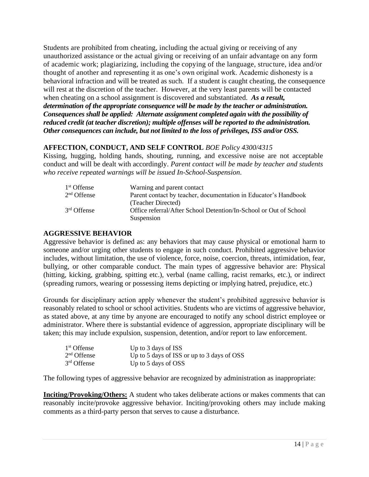Students are prohibited from cheating, including the actual giving or receiving of any unauthorized assistance or the actual giving or receiving of an unfair advantage on any form of academic work; plagiarizing, including the copying of the language, structure, idea and/or thought of another and representing it as one's own original work. Academic dishonesty is a behavioral infraction and will be treated as such. If a student is caught cheating, the consequence will rest at the discretion of the teacher. However, at the very least parents will be contacted when cheating on a school assignment is discovered and substantiated. *As a result, determination of the appropriate consequence will be made by the teacher or administration. Consequences shall be applied: Alternate assignment completed again with the possibility of reduced credit (at teacher discretion); multiple offenses will be reported to the administration. Other consequences can include, but not limited to the loss of privileges, ISS and/or OSS.*

# **AFFECTION, CONDUCT, AND SELF CONTROL** *BOE Policy 4300/4315*

Kissing, hugging, holding hands, shouting, running, and excessive noise are not acceptable conduct and will be dealt with accordingly. *Parent contact will be made by teacher and students who receive repeated warnings will be issued In-School-Suspension*.

| 1 <sup>st</sup> Offense | Warning and parent contact                                        |
|-------------------------|-------------------------------------------------------------------|
| $2nd$ Offense           | Parent contact by teacher, documentation in Educator's Handbook   |
|                         | (Teacher Directed)                                                |
| $3rd$ Offense           | Office referral/After School Detention/In-School or Out of School |
|                         | Suspension                                                        |

# **AGGRESSIVE BEHAVIOR**

Aggressive behavior is defined as: any behaviors that may cause physical or emotional harm to someone and/or urging other students to engage in such conduct. Prohibited aggressive behavior includes, without limitation, the use of violence, force, noise, coercion, threats, intimidation, fear, bullying, or other comparable conduct. The main types of aggressive behavior are: Physical (hitting, kicking, grabbing, spitting etc.), verbal (name calling, racist remarks, etc.), or indirect (spreading rumors, wearing or possessing items depicting or implying hatred, prejudice, etc.)

Grounds for disciplinary action apply whenever the student's prohibited aggressive behavior is reasonably related to school or school activities. Students who are victims of aggressive behavior, as stated above, at any time by anyone are encouraged to notify any school district employee or administrator. Where there is substantial evidence of aggression, appropriate disciplinary will be taken; this may include expulsion, suspension, detention, and/or report to law enforcement.

| 1 <sup>st</sup> Offense | Up to 3 days of ISS                        |
|-------------------------|--------------------------------------------|
| $2nd$ Offense           | Up to 5 days of ISS or up to 3 days of OSS |
| $3rd$ Offense           | Up to 5 days of OSS                        |

The following types of aggressive behavior are recognized by administration as inappropriate:

**Inciting/Provoking/Others:** A student who takes deliberate actions or makes comments that can reasonably incite/provoke aggressive behavior. Inciting/provoking others may include making comments as a third-party person that serves to cause a disturbance.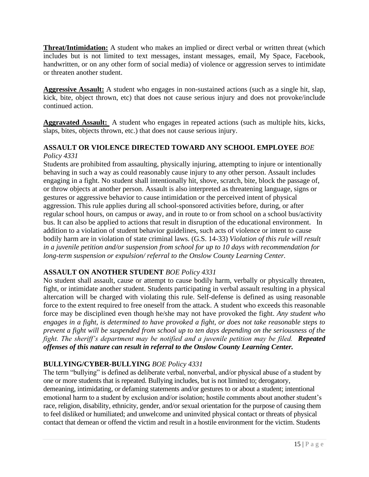**Threat/Intimidation:** A student who makes an implied or direct verbal or written threat (which includes but is not limited to text messages, instant messages, email, My Space, Facebook, handwritten, or on any other form of social media) of violence or aggression serves to intimidate or threaten another student.

**Aggressive Assault:** A student who engages in non-sustained actions (such as a single hit, slap, kick, bite, object thrown, etc) that does not cause serious injury and does not provoke/include continued action.

**Aggravated Assault:** A student who engages in repeated actions (such as multiple hits, kicks, slaps, bites, objects thrown, etc.) that does not cause serious injury.

### **ASSAULT OR VIOLENCE DIRECTED TOWARD ANY SCHOOL EMPLOYEE** *BOE Policy 4331*

Students are prohibited from assaulting, physically injuring, attempting to injure or intentionally behaving in such a way as could reasonably cause injury to any other person. Assault includes engaging in a fight. No student shall intentionally hit, shove, scratch, bite, block the passage of, or throw objects at another person. Assault is also interpreted as threatening language, signs or gestures or aggressive behavior to cause intimidation or the perceived intent of physical aggression. This rule applies during all school-sponsored activities before, during, or after regular school hours, on campus or away, and in route to or from school on a school bus/activity bus. It can also be applied to actions that result in disruption of the educational environment. In addition to a violation of student behavior guidelines, such acts of violence or intent to cause bodily harm are in violation of state criminal laws. (G.S. 14-33) *Violation of this rule will result in a juvenile petition and/or suspension from school for up to 10 days with recommendation for long-term suspension or expulsion/ referral to the Onslow County Learning Center.*

# **ASSAULT ON ANOTHER STUDENT** *BOE Policy 4331*

No student shall assault, cause or attempt to cause bodily harm, verbally or physically threaten, fight, or intimidate another student. Students participating in verbal assault resulting in a physical altercation will be charged with violating this rule. Self-defense is defined as using reasonable force to the extent required to free oneself from the attack. A student who exceeds this reasonable force may be disciplined even though he/she may not have provoked the fight. *Any student who engages in a fight, is determined to have provoked a fight, or does not take reasonable steps to prevent a fight will be suspended from school up to ten days depending on the seriousness of the fight. The sheriff's department may be notified and a juvenile petition may be filed. Repeated offenses of this nature can result in referral to the Onslow County Learning Center.* 

# **BULLYING/CYBER-BULLYING** *BOE Policy 4331*

The term "bullying" is defined as deliberate verbal, nonverbal, and/or physical abuse of a student by one or more students that is repeated. Bullying includes, but is not limited to; derogatory, demeaning, intimidating, or defaming statements and/or gestures to or about a student; intentional emotional harm to a student by exclusion and/or isolation; hostile comments about another student's race, religion, disability, ethnicity, gender, and/or sexual orientation for the purpose of causing them to feel disliked or humiliated; and unwelcome and uninvited physical contact or threats of physical contact that demean or offend the victim and result in a hostile environment for the victim. Students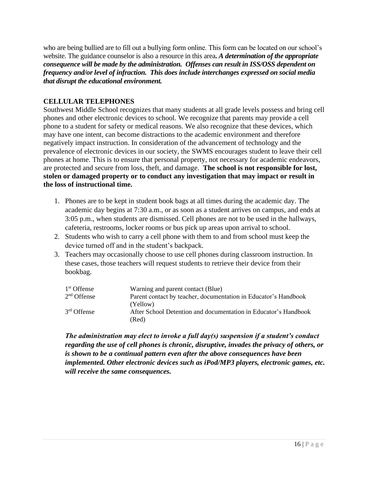who are being bullied are to fill out a bullying form online. This form can be located on our school's website. The guidance counselor is also a resource in this area**.** *A determination of the appropriate consequence will be made by the administration. Offenses can result in ISS/OSS dependent on frequency and/or level of infraction. This does include interchanges expressed on social media that disrupt the educational environment.* 

# **CELLULAR TELEPHONES**

Southwest Middle School recognizes that many students at all grade levels possess and bring cell phones and other electronic devices to school. We recognize that parents may provide a cell phone to a student for safety or medical reasons. We also recognize that these devices, which may have one intent, can become distractions to the academic environment and therefore negatively impact instruction. In consideration of the advancement of technology and the prevalence of electronic devices in our society, the SWMS encourages student to leave their cell phones at home. This is to ensure that personal property, not necessary for academic endeavors, are protected and secure from loss, theft, and damage. **The school is not responsible for lost, stolen or damaged property or to conduct any investigation that may impact or result in the loss of instructional time.**

- 1. Phones are to be kept in student book bags at all times during the academic day. The academic day begins at 7:30 a.m., or as soon as a student arrives on campus, and ends at 3:05 p.m., when students are dismissed. Cell phones are not to be used in the hallways, cafeteria, restrooms, locker rooms or bus pick up areas upon arrival to school.
- 2. Students who wish to carry a cell phone with them to and from school must keep the device turned off and in the student's backpack.
- 3. Teachers may occasionally choose to use cell phones during classroom instruction. In these cases, those teachers will request students to retrieve their device from their bookbag.

| 1 <sup>st</sup> Offense | Warning and parent contact (Blue)                               |
|-------------------------|-----------------------------------------------------------------|
| $2nd$ Offense           | Parent contact by teacher, documentation in Educator's Handbook |
|                         | (Yellow)                                                        |
| 3 <sup>rd</sup> Offense | After School Detention and documentation in Educator's Handbook |
|                         | (Red)                                                           |

*The administration may elect to invoke a full day(s) suspension if a student's conduct regarding the use of cell phones is chronic, disruptive, invades the privacy of others, or is shown to be a continual pattern even after the above consequences have been implemented. Other electronic devices such as iPod/MP3 players, electronic games, etc. will receive the same consequences.*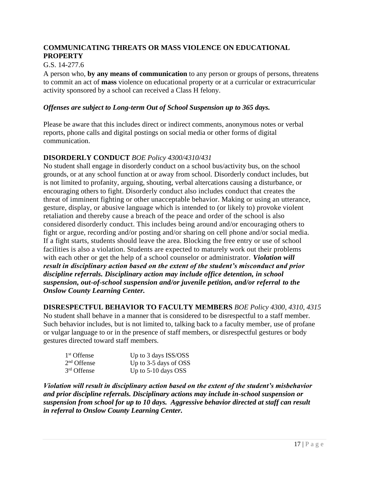# **COMMUNICATING THREATS OR MASS VIOLENCE ON EDUCATIONAL PROPERTY**

# G.S. 14-277.6

A person who, **by any means of communication** to any person or groups of persons, threatens to commit an act of **mass** violence on educational property or at a curricular or extracurricular activity sponsored by a school can received a Class H felony.

### *Offenses are subject to Long-term Out of School Suspension up to 365 days.*

Please be aware that this includes direct or indirect comments, anonymous notes or verbal reports, phone calls and digital postings on social media or other forms of digital communication.

# **DISORDERLY CONDUCT** *BOE Policy 4300/4310/431*

No student shall engage in disorderly conduct on a school bus/activity bus, on the school grounds, or at any school function at or away from school. Disorderly conduct includes, but is not limited to profanity, arguing, shouting, verbal altercations causing a disturbance, or encouraging others to fight. Disorderly conduct also includes conduct that creates the threat of imminent fighting or other unacceptable behavior. Making or using an utterance, gesture, display, or abusive language which is intended to (or likely to) provoke violent retaliation and thereby cause a breach of the peace and order of the school is also considered disorderly conduct. This includes being around and/or encouraging others to fight or argue, recording and/or posting and/or sharing on cell phone and/or social media. If a fight starts, students should leave the area. Blocking the free entry or use of school facilities is also a violation. Students are expected to maturely work out their problems with each other or get the help of a school counselor or administrator. *Violation will result in disciplinary action based on the extent of the student's misconduct and prior discipline referrals. Disciplinary action may include office detention, in school suspension, out-of-school suspension and/or juvenile petition, and/or referral to the Onslow County Learning Center.*

**DISRESPECTFUL BEHAVIOR TO FACULTY MEMBERS** *BOE Policy 4300, 4310, 4315* No student shall behave in a manner that is considered to be disrespectful to a staff member. Such behavior includes, but is not limited to, talking back to a faculty member, use of profane or vulgar language to or in the presence of staff members, or disrespectful gestures or body gestures directed toward staff members.

| 1 <sup>st</sup> Offense | Up to 3 days ISS/OSS  |
|-------------------------|-----------------------|
| $2nd$ Offense           | Up to 3-5 days of OSS |
| 3 <sup>rd</sup> Offense | Up to $5-10$ days OSS |

*Violation will result in disciplinary action based on the extent of the student's misbehavior and prior discipline referrals. Disciplinary actions may include in-school suspension or suspension from school for up to 10 days. Aggressive behavior directed at staff can result in referral to Onslow County Learning Center.*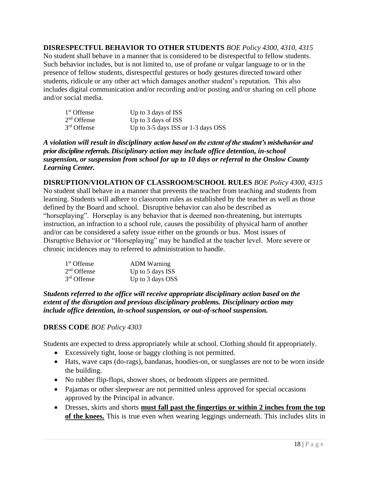**DISRESPECTFUL BEHAVIOR TO OTHER STUDENTS** *BOE Policy 4300, 4310, 4315* No student shall behave in a manner that is considered to be disrespectful to fellow students. Such behavior includes, but is not limited to, use of profane or vulgar language to or in the presence of fellow students, disrespectful gestures or body gestures directed toward other students, ridicule or any other act which damages another student's reputation*.* This also includes digital communication and/or recording and/or posting and/or sharing on cell phone and/or social media.

| 1 <sup>st</sup> Offense | Up to 3 days of ISS                |
|-------------------------|------------------------------------|
| $2nd$ Offense           | Up to 3 days of ISS                |
| 3 <sup>rd</sup> Offense | Up to 3-5 days ISS or 1-3 days OSS |

*A violation will result in disciplinary action based on the extent of the student's misbehavior and prior discipline referrals. Disciplinary action may include office detention, in-school suspension, or suspension from school for up to 10 days or referral to the Onslow County Learning Center.*

**DISRUPTION/VIOLATION OF CLASSROOM/SCHOOL RULES** *BOE Policy 4300, 4315* No student shall behave in a manner that prevents the teacher from teaching and students from learning. Students will adhere to classroom rules as established by the teacher as well as those defined by the Board and school. Disruptive behavior can also be described as "horseplaying". Horseplay is any behavior that is deemed non-threatening, but interrupts instruction, an infraction to a school rule, causes the possibility of physical harm of another and/or can be considered a safety issue either on the grounds or bus. Most issues of Disruptive Behavior or "Horseplaying" may be handled at the teacher level. More severe or chronic incidences may to referred to administration to handle.

| 1 <sup>st</sup> Offense | <b>ADM Warning</b> |
|-------------------------|--------------------|
| $2nd$ Offense           | Up to 5 days ISS   |
| $3rd$ Offense           | Up to 3 days OSS   |

*Students referred to the office will receive appropriate disciplinary action based on the extent of the disruption and previous disciplinary problems. Disciplinary action may include office detention, in-school suspension, or out-of-school suspension.*

# **DRESS CODE** *BOE Policy 4303*

Students are expected to dress appropriately while at school. Clothing should fit appropriately.

- Excessively tight, loose or baggy clothing is not permitted.
- Hats, wave caps (do-rags), bandanas, hoodies-on, or sunglasses are not to be worn inside the building.
- No rubber flip-flops, shower shoes, or bedroom slippers are permitted.
- Pajamas or other sleepwear are not permitted unless approved for special occasions approved by the Principal in advance.
- Dresses, skirts and shorts **must fall past the fingertips or within 2 inches from the top of the knees.** This is true even when wearing leggings underneath. This includes slits in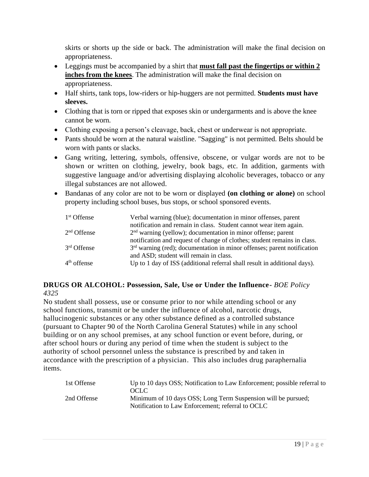skirts or shorts up the side or back. The administration will make the final decision on appropriateness.

- Leggings must be accompanied by a shirt that **must fall past the fingertips or within 2 inches from the knees**. The administration will make the final decision on appropriateness.
- Half shirts, tank tops, low-riders or hip-huggers are not permitted. **Students must have sleeves.**
- Clothing that is torn or ripped that exposes skin or undergarments and is above the knee cannot be worn.
- Clothing exposing a person's cleavage, back, chest or underwear is not appropriate.
- Pants should be worn at the natural waistline. "Sagging" is not permitted. Belts should be worn with pants or slacks.
- Gang writing, lettering, symbols, offensive, obscene, or vulgar words are not to be shown or written on clothing, jewelry, book bags, etc. In addition, garments with suggestive language and/or advertising displaying alcoholic beverages, tobacco or any illegal substances are not allowed.
- Bandanas of any color are not to be worn or displayed **(on clothing or alone)** on school property including school buses, bus stops, or school sponsored events.

| 1 <sup>st</sup> Offense | Verbal warning (blue); documentation in minor offenses, parent            |
|-------------------------|---------------------------------------------------------------------------|
|                         | notification and remain in class. Student cannot wear item again.         |
| $2nd$ Offense           | $2nd$ warning (yellow); documentation in minor offense; parent            |
|                         | notification and request of change of clothes; student remains in class.  |
| $3rd$ Offense           | $3rd$ warning (red); documentation in minor offenses; parent notification |
|                         | and ASD; student will remain in class.                                    |
| $4th$ offense           | Up to 1 day of ISS (additional referral shall result in additional days). |

# **DRUGS OR ALCOHOL: Possession, Sale, Use or Under the Influence-** *BOE Policy 4325*

No student shall possess, use or consume prior to nor while attending school or any school functions, transmit or be under the influence of alcohol, narcotic drugs, hallucinogenic substances or any other substance defined as a controlled substance (pursuant to Chapter 90 of the North Carolina General Statutes) while in any school building or on any school premises, at any school function or event before, during, or after school hours or during any period of time when the student is subject to the authority of school personnel unless the substance is prescribed by and taken in accordance with the prescription of a physician. This also includes drug paraphernalia items.

| 1st Offense | Up to 10 days OSS; Notification to Law Enforcement; possible referral to<br>OCLC. |
|-------------|-----------------------------------------------------------------------------------|
| 2nd Offense | Minimum of 10 days OSS; Long Term Suspension will be pursued;                     |
|             | Notification to Law Enforcement; referral to OCLC                                 |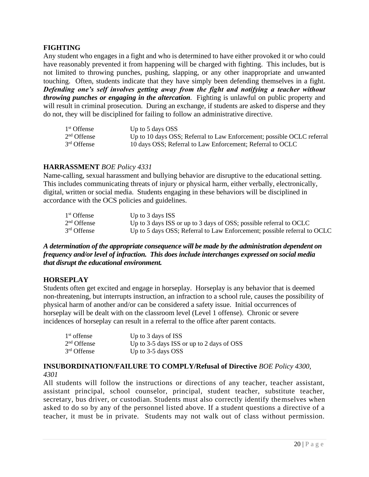# **FIGHTING**

Any student who engages in a fight and who is determined to have either provoked it or who could have reasonably prevented it from happening will be charged with fighting. This includes, but is not limited to throwing punches, pushing, slapping, or any other inappropriate and unwanted touching. Often, students indicate that they have simply been defending themselves in a fight. *Defending one's self involves getting away from the fight and notifying a teacher without throwing punches or engaging in the altercation.* Fighting is unlawful on public property and will result in criminal prosecution. During an exchange, if students are asked to disperse and they do not, they will be disciplined for failing to follow an administrative directive.

| 1 <sup>st</sup> Offense | Up to 5 days OSS                                                       |
|-------------------------|------------------------------------------------------------------------|
| $2nd$ Offense           | Up to 10 days OSS; Referral to Law Enforcement; possible OCLC referral |
| $3rd$ Offense           | 10 days OSS; Referral to Law Enforcement; Referral to OCLC             |

# **HARRASSMENT** *BOE Policy 4331*

Name-calling, sexual harassment and bullying behavior are disruptive to the educational setting. This includes communicating threats of injury or physical harm, either verbally, electronically, digital, written or social media. Students engaging in these behaviors will be disciplined in accordance with the OCS policies and guidelines.

| 1 <sup>st</sup> Offense | Up to $3$ days ISS                                                       |
|-------------------------|--------------------------------------------------------------------------|
| $2nd$ Offense           | Up to 3 days ISS or up to 3 days of OSS; possible referral to OCLC       |
| 3 <sup>rd</sup> Offense | Up to 5 days OSS; Referral to Law Enforcement; possible referral to OCLC |

#### *A determination of the appropriate consequence will be made by the administration dependent on frequency and/or level of infraction. This does include interchanges expressed on social media that disrupt the educational environment.*

# **HORSEPLAY**

Students often get excited and engage in horseplay. Horseplay is any behavior that is deemed non-threatening, but interrupts instruction, an infraction to a school rule, causes the possibility of physical harm of another and/or can be considered a safety issue. Initial occurrences of horseplay will be dealt with on the classroom level (Level 1 offense). Chronic or severe incidences of horseplay can result in a referral to the office after parent contacts.

| $1st$ offense           | Up to 3 days of ISS                       |
|-------------------------|-------------------------------------------|
| $2nd$ Offense           | Up to 3-5 days ISS or up to 2 days of OSS |
| 3 <sup>rd</sup> Offense | Up to 3-5 days OSS                        |

# **INSUBORDINATION/FAILURE TO COMPLY/Refusal of Directive** *BOE Policy 4300, 4301*

All students will follow the instructions or directions of any teacher, teacher assistant, assistant principal, school counselor, principal, student teacher, substitute teacher, secretary, bus driver, or custodian. Students must also correctly identify themselves when asked to do so by any of the personnel listed above. If a student questions a directive of a teacher, it must be in private. Students may not walk out of class without permission.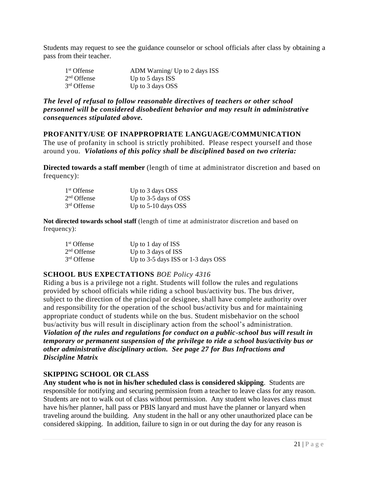Students may request to see the guidance counselor or school officials after class by obtaining a pass from their teacher.

| 1 <sup>st</sup> Offense | ADM Warning/ Up to 2 days ISS |
|-------------------------|-------------------------------|
| $2nd$ Offense           | Up to 5 days ISS              |
| 3 <sup>rd</sup> Offense | Up to 3 days OSS              |

#### *The level of refusal to follow reasonable directives of teachers or other school personnel will be considered disobedient behavior and may result in administrative consequences stipulated above.*

#### **PROFANITY/USE OF INAPPROPRIATE LANGUAGE/COMMUNICATION**

The use of profanity in school is strictly prohibited. Please respect yourself and those around you. *Violations of this policy shall be disciplined based on two criteria:* 

**Directed towards a staff member** (length of time at administrator discretion and based on frequency):

| 1 <sup>st</sup> Offense | Up to 3 days OSS        |
|-------------------------|-------------------------|
| $2nd$ Offense           | Up to $3-5$ days of OSS |
| 3 <sup>rd</sup> Offense | Up to $5-10$ days OSS   |

**Not directed towards school staff** (length of time at administrator discretion and based on frequency):

| 1 <sup>st</sup> Offense | Up to 1 day of ISS                 |
|-------------------------|------------------------------------|
| $2nd$ Offense           | Up to 3 days of ISS                |
| 3 <sup>rd</sup> Offense | Up to 3-5 days ISS or 1-3 days OSS |

# **SCHOOL BUS EXPECTATIONS** *BOE Policy 4316*

Riding a bus is a privilege not a right. Students will follow the rules and regulations provided by school officials while riding a school bus/activity bus. The bus driver, subject to the direction of the principal or designee, shall have complete authority over and responsibility for the operation of the school bus/activity bus and for maintaining appropriate conduct of students while on the bus. Student misbehavior on the school bus/activity bus will result in disciplinary action from the school's administration. *Violation of the rules and regulations for conduct on a public-school bus will result in temporary or permanent suspension of the privilege to ride a school bus/activity bus or other administrative disciplinary action. See page 27 for Bus Infractions and Discipline Matrix* 

#### **SKIPPING SCHOOL OR CLASS**

**Any student who is not in his/her scheduled class is considered skipping**. Students are responsible for notifying and securing permission from a teacher to leave class for any reason. Students are not to walk out of class without permission. Any student who leaves class must have his/her planner, hall pass or PBIS lanyard and must have the planner or lanyard when traveling around the building. Any student in the hall or any other unauthorized place can be considered skipping. In addition, failure to sign in or out during the day for any reason is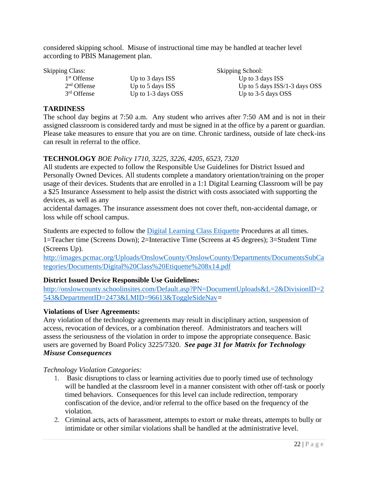considered skipping school. Misuse of instructional time may be handled at teacher level according to PBIS Management plan.

Skipping Class: Skipping School: Skipping School:

 $1<sup>st</sup>$  Offense

 $2<sup>nd</sup>$  Offense

3rd Offense

Up to 3 days ISS Up to 3 days ISS

Up to 5 days ISS Up to 5 days ISS/1-3 days OSS Up to  $1-3$  days OSS Up to  $3-5$  days OSS

# **TARDINESS**

The school day begins at 7:50 a.m. Any student who arrives after 7:50 AM and is not in their assigned classroom is considered tardy and must be signed in at the office by a parent or guardian. Please take measures to ensure that you are on time. Chronic tardiness, outside of late check-ins can result in referral to the office.

# **TECHNOLOGY** *BOE Policy 1710, 3225, 3226, 4205, 6523, 7320*

All students are expected to follow the Responsible Use Guidelines for District Issued and Personally Owned Devices. All students complete a mandatory orientation/training on the proper usage of their devices. Students that are enrolled in a 1:1 Digital Learning Classroom will be pay a \$25 Insurance Assessment to help assist the district with costs associated with supporting the devices, as well as any

accidental damages. The insurance assessment does not cover theft, non-accidental damage, or loss while off school campus.

Students are expected to follow the **Digital Learning Class Etiquette Procedures** at all times. 1=Teacher time (Screens Down); 2=Interactive Time (Screens at 45 degrees); 3=Student Time (Screens Up).

[http://images.pcmac.org/Uploads/OnslowCounty/OnslowCounty/Departments/DocumentsSubCa](http://images.pcmac.org/Uploads/OnslowCounty/OnslowCounty/Departments/DocumentsSubCategories/Documents/Digital%20Class%20Etiquette%208x14.pdf) [tegories/Documents/Digital%20Class%20Etiquette%208x14.pdf](http://images.pcmac.org/Uploads/OnslowCounty/OnslowCounty/Departments/DocumentsSubCategories/Documents/Digital%20Class%20Etiquette%208x14.pdf)

# **District Issued Device Responsible Use Guidelines:**

[http://onslowcounty.schoolinsites.com/Default.asp?PN=DocumentUploads&L=2&DivisionID=2](http://onslowcounty.schoolinsites.com/Default.asp?PN=DocumentUploads&L=2&DivisionID=2543&DepartmentID=2473&LMID=96613&ToggleSideNav) [543&DepartmentID=2473&LMID=96613&ToggleSideNav](http://onslowcounty.schoolinsites.com/Default.asp?PN=DocumentUploads&L=2&DivisionID=2543&DepartmentID=2473&LMID=96613&ToggleSideNav)*=*

# **Violations of User Agreements:**

Any violation of the technology agreements may result in disciplinary action, suspension of access, revocation of devices, or a combination thereof. Administrators and teachers will assess the seriousness of the violation in order to impose the appropriate consequence. Basic users are governed by Board Policy 3225/7320. *See page 31 for Matrix for Technology Misuse Consequences* 

*Technology Violation Categories:*

- 1. Basic disruptions to class or learning activities due to poorly timed use of technology will be handled at the classroom level in a manner consistent with other off-task or poorly timed behaviors. Consequences for this level can include redirection, temporary confiscation of the device, and/or referral to the office based on the frequency of the violation.
- 2. Criminal acts, acts of harassment, attempts to extort or make threats, attempts to bully or intimidate or other similar violations shall be handled at the administrative level.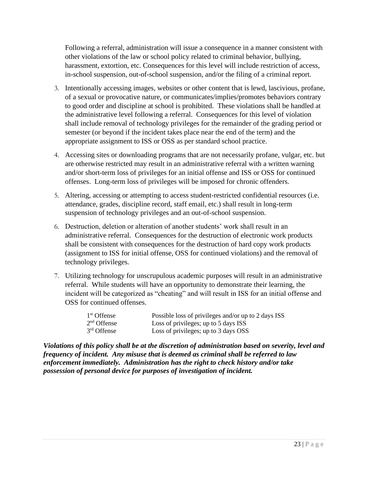Following a referral, administration will issue a consequence in a manner consistent with other violations of the law or school policy related to criminal behavior, bullying, harassment, extortion, etc. Consequences for this level will include restriction of access, in-school suspension, out-of-school suspension, and/or the filing of a criminal report.

- 3. Intentionally accessing images, websites or other content that is lewd, lascivious, profane, of a sexual or provocative nature, or communicates/implies/promotes behaviors contrary to good order and discipline at school is prohibited. These violations shall be handled at the administrative level following a referral. Consequences for this level of violation shall include removal of technology privileges for the remainder of the grading period or semester (or beyond if the incident takes place near the end of the term) and the appropriate assignment to ISS or OSS as per standard school practice.
- 4. Accessing sites or downloading programs that are not necessarily profane, vulgar, etc. but are otherwise restricted may result in an administrative referral with a written warning and/or short-term loss of privileges for an initial offense and ISS or OSS for continued offenses. Long-term loss of privileges will be imposed for chronic offenders.
- 5. Altering, accessing or attempting to access student-restricted confidential resources (i.e. attendance, grades, discipline record, staff email, etc.) shall result in long-term suspension of technology privileges and an out-of-school suspension.
- 6. Destruction, deletion or alteration of another students' work shall result in an administrative referral. Consequences for the destruction of electronic work products shall be consistent with consequences for the destruction of hard copy work products (assignment to ISS for initial offense, OSS for continued violations) and the removal of technology privileges.
- 7. Utilizing technology for unscrupulous academic purposes will result in an administrative referral. While students will have an opportunity to demonstrate their learning, the incident will be categorized as "cheating" and will result in ISS for an initial offense and OSS for continued offenses.

| 1 <sup>st</sup> Offense | Possible loss of privileges and/or up to 2 days ISS |
|-------------------------|-----------------------------------------------------|
| $2nd$ Offense           | Loss of privileges; up to 5 days ISS                |
| $3rd$ Offense           | Loss of privileges; up to 3 days OSS                |

*Violations of this policy shall be at the discretion of administration based on severity, level and frequency of incident. Any misuse that is deemed as criminal shall be referred to law enforcement immediately. Administration has the right to check history and/or take possession of personal device for purposes of investigation of incident.*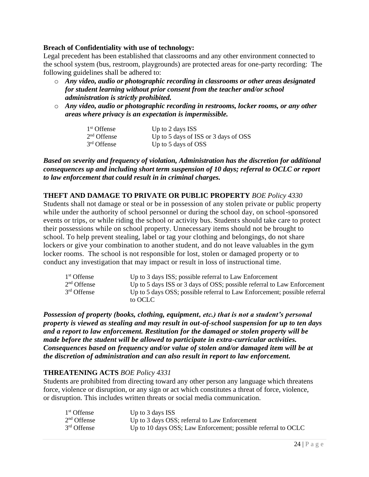#### **Breach of Confidentiality with use of technology:**

Legal precedent has been established that classrooms and any other environment connected to the school system (bus, restroom, playgrounds) are protected areas for one-party recording: The following guidelines shall be adhered to:

- o *Any video, audio or photographic recording in classrooms or other areas designated for student learning without prior consent from the teacher and/or school administration is strictly prohibited.*
- o *Any video, audio or photographic recording in restrooms, locker rooms, or any other areas where privacy is an expectation is impermissible.*

| 1 <sup>st</sup> Offense | Up to 2 days ISS                     |
|-------------------------|--------------------------------------|
| $2nd$ Offense           | Up to 5 days of ISS or 3 days of OSS |
| 3 <sup>rd</sup> Offense | Up to 5 days of OSS                  |

*Based on severity and frequency of violation, Administration has the discretion for additional consequences up and including short term suspension of 10 days; referral to OCLC or report to law enforcement that could result in in criminal charges.* 

#### **THEFT AND DAMAGE TO PRIVATE OR PUBLIC PROPERTY** *BOE Policy 4330*

Students shall not damage or steal or be in possession of any stolen private or public property while under the authority of school personnel or during the school day, on school-sponsored events or trips, or while riding the school or activity bus. Students should take care to protect their possessions while on school property. Unnecessary items should not be brought to school. To help prevent stealing, label or tag your clothing and belongings, do not share lockers or give your combination to another student, and do not leave valuables in the gym locker rooms. The school is not responsible for lost, stolen or damaged property or to conduct any investigation that may impact or result in loss of instructional time.

| 1 <sup>st</sup> Offense | Up to 3 days ISS; possible referral to Law Enforcement                    |
|-------------------------|---------------------------------------------------------------------------|
| $2nd$ Offense           | Up to 5 days ISS or 3 days of OSS; possible referral to Law Enforcement   |
| $3rd$ Offense           | Up to 5 days OSS; possible referral to Law Enforcement; possible referral |
|                         | to OCLC                                                                   |

*Possession of property (books, clothing, equipment, etc.) that is not a student's personal property is viewed as stealing and may result in out-of-school suspension for up to ten days and a report to law enforcement. Restitution for the damaged or stolen property will be made before the student will be allowed to participate in extra-curricular activities. Consequences based on frequency and/or value of stolen and/or damaged item will be at the discretion of administration and can also result in report to law enforcement.*

#### **THREATENING ACTS** *BOE Policy 4331*

Students are prohibited from directing toward any other person any language which threatens force, violence or disruption, or any sign or act which constitutes a threat of force, violence, or disruption. This includes written threats or social media communication.

| 1 <sup>st</sup> Offense | Up to $3$ days ISS                                            |
|-------------------------|---------------------------------------------------------------|
| $2nd$ Offense           | Up to 3 days OSS; referral to Law Enforcement                 |
| $3rd$ Offense           | Up to 10 days OSS; Law Enforcement; possible referral to OCLC |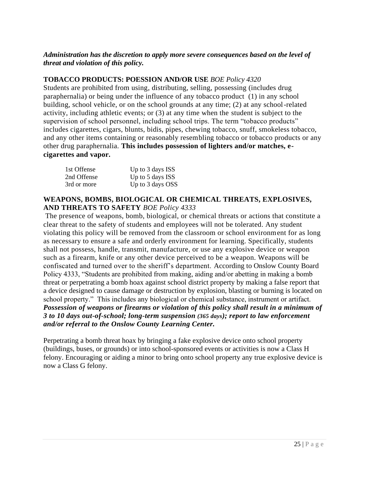# *Administration has the discretion to apply more severe consequences based on the level of threat and violation of this policy.*

# **TOBACCO PRODUCTS: POESSION AND/OR USE** *BOE Policy 4320*

Students are prohibited from using, distributing, selling, possessing (includes drug paraphernalia) or being under the influence of any tobacco product (1) in any school building, school vehicle, or on the school grounds at any time; (2) at any school-related activity, including athletic events; or (3) at any time when the student is subject to the supervision of school personnel, including school trips. The term "tobacco products" includes cigarettes, cigars, blunts, bidis, pipes, chewing tobacco, snuff, smokeless tobacco, and any other items containing or reasonably resembling tobacco or tobacco products or any other drug paraphernalia. **This includes possession of lighters and/or matches, ecigarettes and vapor***.*

| 1st Offense | Up to 3 days ISS |
|-------------|------------------|
| 2nd Offense | Up to 5 days ISS |
| 3rd or more | Up to 3 days OSS |

#### **WEAPONS, BOMBS, BIOLOGICAL OR CHEMICAL THREATS, EXPLOSIVES, AND THREATS TO SAFETY** *BOE Policy 4333*

The presence of weapons, bomb, biological, or chemical threats or actions that constitute a clear threat to the safety of students and employees will not be tolerated. Any student violating this policy will be removed from the classroom or school environment for as long as necessary to ensure a safe and orderly environment for learning. Specifically, students shall not possess, handle, transmit, manufacture, or use any explosive device or weapon such as a firearm, knife or any other device perceived to be a weapon. Weapons will be confiscated and turned over to the sheriff's department. According to Onslow County Board Policy 4333, "Students are prohibited from making, aiding and/or abetting in making a bomb threat or perpetrating a bomb hoax against school district property by making a false report that a device designed to cause damage or destruction by explosion, blasting or burning is located on school property." This includes any biological or chemical substance, instrument or artifact. *Possession of weapons or firearms or violation of this policy shall result in a minimum of 3 to 10 days out-of-school; long-term suspension (365 days); report to law enforcement and/or referral to the Onslow County Learning Center.*

Perpetrating a bomb threat hoax by bringing a fake explosive device onto school property (buildings, buses, or grounds) or into school-sponsored events or activities is now a Class H felony. Encouraging or aiding a minor to bring onto school property any true explosive device is now a Class G felony.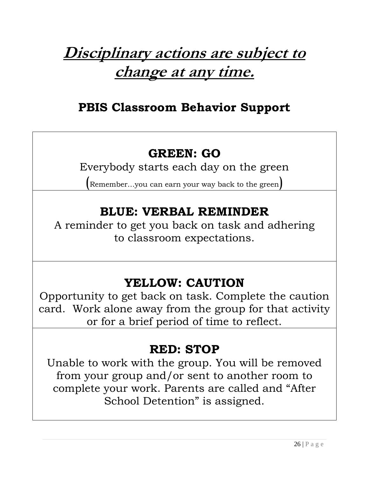# **Disciplinary actions are subject to change at any time.**

# **PBIS Classroom Behavior Support**

# **GREEN: GO**

Everybody starts each day on the green

(Remember…you can earn your way back to the green)

# **BLUE: VERBAL REMINDER**

A reminder to get you back on task and adhering to classroom expectations.

# **YELLOW: CAUTION**

Opportunity to get back on task. Complete the caution card. Work alone away from the group for that activity or for a brief period of time to reflect.

# **RED: STOP**

Unable to work with the group. You will be removed from your group and/or sent to another room to complete your work. Parents are called and "After School Detention" is assigned.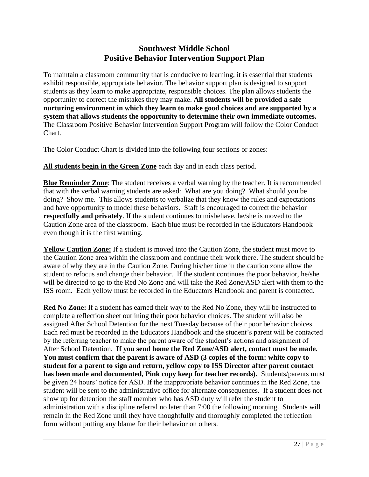# **Southwest Middle School Positive Behavior Intervention Support Plan**

To maintain a classroom community that is conducive to learning, it is essential that students exhibit responsible, appropriate behavior. The behavior support plan is designed to support students as they learn to make appropriate, responsible choices. The plan allows students the opportunity to correct the mistakes they may make. **All students will be provided a safe nurturing environment in which they learn to make good choices and are supported by a system that allows students the opportunity to determine their own immediate outcomes.** The Classroom Positive Behavior Intervention Support Program will follow the Color Conduct Chart.

The Color Conduct Chart is divided into the following four sections or zones:

**All students begin in the Green Zone** each day and in each class period.

**Blue Reminder Zone**: The student receives a verbal warning by the teacher. It is recommended that with the verbal warning students are asked: What are you doing? What should you be doing? Show me. This allows students to verbalize that they know the rules and expectations and have opportunity to model these behaviors. Staff is encouraged to correct the behavior **respectfully and privately**. If the student continues to misbehave, he/she is moved to the Caution Zone area of the classroom. Each blue must be recorded in the Educators Handbook even though it is the first warning.

**Yellow Caution Zone:** If a student is moved into the Caution Zone, the student must move to the Caution Zone area within the classroom and continue their work there. The student should be aware of why they are in the Caution Zone. During his/her time in the caution zone allow the student to refocus and change their behavior. If the student continues the poor behavior, he/she will be directed to go to the Red No Zone and will take the Red Zone/ASD alert with them to the ISS room. Each yellow must be recorded in the Educators Handbook and parent is contacted.

**Red No Zone:** If a student has earned their way to the Red No Zone, they will be instructed to complete a reflection sheet outlining their poor behavior choices. The student will also be assigned After School Detention for the next Tuesday because of their poor behavior choices. Each red must be recorded in the Educators Handbook and the student's parent will be contacted by the referring teacher to make the parent aware of the student's actions and assignment of After School Detention. **If you send home the Red Zone/ASD alert, contact must be made. You must confirm that the parent is aware of ASD (3 copies of the form: white copy to student for a parent to sign and return, yellow copy to ISS Director after parent contact has been made and documented, Pink copy keep for teacher records).** Students/parents must be given 24 hours' notice for ASD. If the inappropriate behavior continues in the Red Zone, the student will be sent to the administrative office for alternate consequences. If a student does not show up for detention the staff member who has ASD duty will refer the student to administration with a discipline referral no later than 7:00 the following morning. Students will remain in the Red Zone until they have thoughtfully and thoroughly completed the reflection form without putting any blame for their behavior on others.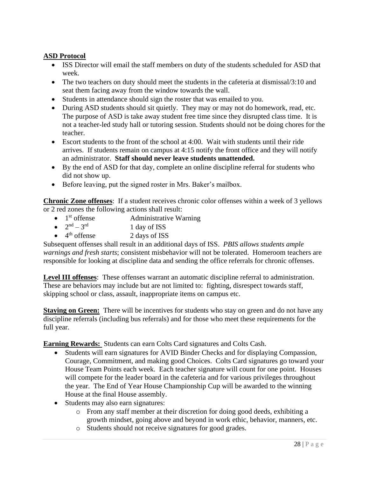# **ASD Protocol**

- ISS Director will email the staff members on duty of the students scheduled for ASD that week.
- The two teachers on duty should meet the students in the cafeteria at dismissal/3:10 and seat them facing away from the window towards the wall.
- Students in attendance should sign the roster that was emailed to you.
- During ASD students should sit quietly. They may or may not do homework, read, etc. The purpose of ASD is take away student free time since they disrupted class time. It is not a teacher-led study hall or tutoring session. Students should not be doing chores for the teacher.
- Escort students to the front of the school at 4:00. Wait with students until their ride arrives. If students remain on campus at 4:15 notify the front office and they will notify an administrator. **Staff should never leave students unattended.**
- By the end of ASD for that day, complete an online discipline referral for students who did not show up.
- Before leaving, put the signed roster in Mrs. Baker's mailbox.

**Chronic Zone offenses**: If a student receives chronic color offenses within a week of 3 yellows or 2 red zones the following actions shall result:

- $\bullet$  1<sup>st</sup> offense Administrative Warning
- $2^{nd} 3$ 1 day of ISS
- $\bullet$  4<sup>th</sup> offense 2 days of ISS

Subsequent offenses shall result in an additional days of ISS. *PBIS allows students ample warnings and fresh starts*; consistent misbehavior will not be tolerated. Homeroom teachers are responsible for looking at discipline data and sending the office referrals for chronic offenses.

**Level III offenses**: These offenses warrant an automatic discipline referral to administration. These are behaviors may include but are not limited to: fighting, disrespect towards staff, skipping school or class, assault, inappropriate items on campus etc.

**Staying on Green:** There will be incentives for students who stay on green and do not have any discipline referrals (including bus referrals) and for those who meet these requirements for the full year.

**Earning Rewards:** Students can earn Colts Card signatures and Colts Cash.

- Students will earn signatures for AVID Binder Checks and for displaying Compassion, Courage, Commitment, and making good Choices. Colts Card signatures go toward your House Team Points each week. Each teacher signature will count for one point. Houses will compete for the leader board in the cafeteria and for various privileges throughout the year. The End of Year House Championship Cup will be awarded to the winning House at the final House assembly.
- Students may also earn signatures:
	- o From any staff member at their discretion for doing good deeds, exhibiting a growth mindset, going above and beyond in work ethic, behavior, manners, etc.
	- o Students should not receive signatures for good grades.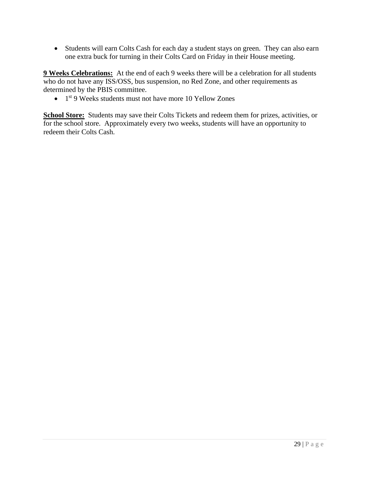• Students will earn Colts Cash for each day a student stays on green. They can also earn one extra buck for turning in their Colts Card on Friday in their House meeting.

**9 Weeks Celebrations:** At the end of each 9 weeks there will be a celebration for all students who do not have any ISS/OSS, bus suspension, no Red Zone, and other requirements as determined by the PBIS committee.

• 1<sup>st</sup> 9 Weeks students must not have more 10 Yellow Zones

**School Store:** Students may save their Colts Tickets and redeem them for prizes, activities, or for the school store. Approximately every two weeks, students will have an opportunity to redeem their Colts Cash.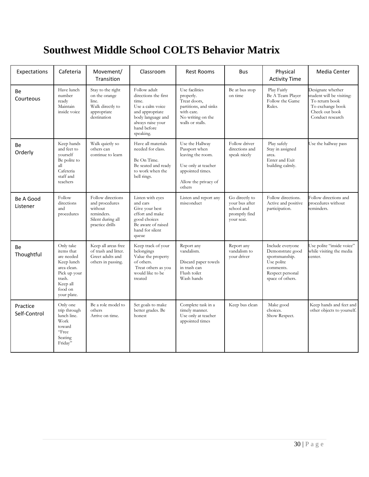# **Southwest Middle School COLTS Behavior Matrix**

| Expectations             | Cafeteria                                                                                                                          | Movement/<br>Transition                                                                              | Classroom                                                                                                                                                  | <b>Rest Rooms</b>                                                                                                                  | <b>Bus</b>                                                                    | Physical<br><b>Activity Time</b>                                                                                          | Media Center                                                                                                               |
|--------------------------|------------------------------------------------------------------------------------------------------------------------------------|------------------------------------------------------------------------------------------------------|------------------------------------------------------------------------------------------------------------------------------------------------------------|------------------------------------------------------------------------------------------------------------------------------------|-------------------------------------------------------------------------------|---------------------------------------------------------------------------------------------------------------------------|----------------------------------------------------------------------------------------------------------------------------|
| Вe<br>Courteous          | Have lunch<br>number<br>ready<br>Maintain<br>inside voice                                                                          | Stay to the right<br>on the orange<br>line.<br>Walk directly to<br>appropriate<br>destination        | Follow adult<br>directions the first<br>time.<br>Use a calm voice<br>and appropriate<br>body language and<br>always raise your<br>hand before<br>speaking. | Use facilities<br>properly.<br>Treat doors,<br>partitions, and sinks<br>with care.<br>No writing on the<br>walls or stalls.        | Be at bus stop<br>on time                                                     | Play Fairly<br>Be A Team Player<br>Follow the Game<br>Rules.                                                              | Designate whether<br>student will be visiting:<br>To return book<br>To exchange book<br>Check out book<br>Conduct research |
| Be<br>Orderly            | Keep hands<br>and feet to<br>vourself<br>Be polite to<br>all<br>Cafeteria<br>staff and<br>teachers                                 | Walk quietly so<br>others can<br>continue to learn                                                   | Have all materials<br>needed for class.<br>Be On Time.<br>Be seated and ready<br>to work when the<br>bell rings.                                           | Use the Hallway<br>Passport when<br>leaving the room.<br>Use only at teacher<br>appointed times.<br>Allow the privacy of<br>others | Follow driver<br>directions and<br>speak nicely                               | Play safely<br>Stay in assigned<br>area.<br>Enter and Exit<br>building calmly.                                            | Use the hallway pass                                                                                                       |
| Be A Good<br>Listener    | Follow<br>directions<br>and<br>procedures                                                                                          | Follow directions<br>and procedures<br>without<br>reminders.<br>Silent during all<br>practice drills | Listen with eyes<br>and ears<br>Give your best<br>effort and make<br>good choices<br>Be aware of raised<br>hand for silent<br>queue                        | Listen and report any<br>misconduct                                                                                                | Go directly to<br>vour bus after<br>school and<br>promptly find<br>your seat. | Follow directions.<br>Active and positive<br>participation.                                                               | Follow directions and<br>procedures without<br>reminders.                                                                  |
| Вe<br>Thoughtful         | Only take<br>items that<br>are needed<br>Keep lunch<br>area clean.<br>Pick up your<br>trash.<br>Keep all<br>food on<br>your plate. | Keep all areas free<br>of trash and litter.<br>Greet adults and<br>others in passing.                | Keep track of your<br>belongings<br>Value the property<br>of others.<br>Treat others as you<br>would like to be<br>treated                                 | Report any<br>vandalism.<br>Discard paper towels<br>in trash can<br>Flush toilet<br>Wash hands                                     | Report any<br>vandalism to<br>your driver                                     | Include everyone<br>Demonstrate good<br>sportsmanship.<br>Use polite<br>comments.<br>Respect personal<br>space of others. | Use polite "inside voice"<br>while visiting the media<br>center.                                                           |
| Practice<br>Self-Control | Only one<br>trip through<br>lunch line.<br>Work<br>toward<br>"Free<br>Seating<br>Friday"                                           | Be a role model to<br>others<br>Arrive on time.                                                      | Set goals to make<br>better grades. Be<br>honest                                                                                                           | Complete task in a<br>timely manner.<br>Use only at teacher<br>appointed times                                                     | Keep bus clean                                                                | Make good<br>choices.<br>Show Respect.                                                                                    | Keep hands and feet and<br>other objects to yourself.                                                                      |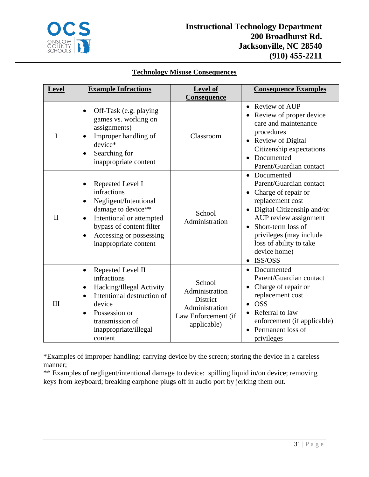

# **Technology Misuse Consequences**

| <b>Level</b> | <b>Example Infractions</b>                                                                                                                                                                 | Level of<br>Consequence                                                                      | <b>Consequence Examples</b>                                                                                                                                                                                                                      |
|--------------|--------------------------------------------------------------------------------------------------------------------------------------------------------------------------------------------|----------------------------------------------------------------------------------------------|--------------------------------------------------------------------------------------------------------------------------------------------------------------------------------------------------------------------------------------------------|
| I            | Off-Task (e.g. playing<br>games vs. working on<br>assignments)<br>Improper handling of<br>device*<br>Searching for<br>inappropriate content                                                | Classroom                                                                                    | • Review of AUP<br>Review of proper device<br>care and maintenance<br>procedures<br>• Review of Digital<br>Citizenship expectations<br>Documented<br>$\bullet$<br>Parent/Guardian contact                                                        |
| $\mathbf{I}$ | Repeated Level I<br>infractions<br>Negligent/Intentional<br>damage to device**<br>Intentional or attempted<br>bypass of content filter<br>Accessing or possessing<br>inappropriate content | School<br>Administration                                                                     | • Documented<br>Parent/Guardian contact<br>Charge of repair or<br>replacement cost<br>Digital Citizenship and/or<br>AUP review assignment<br>Short-term loss of<br>privileges (may include<br>loss of ability to take<br>device home)<br>ISS/OSS |
| III          | Repeated Level II<br>$\bullet$<br>infractions<br>Hacking/Illegal Activity<br>Intentional destruction of<br>device<br>Possession or<br>transmission of<br>inappropriate/illegal<br>content  | School<br>Administration<br>District<br>Administration<br>Law Enforcement (if<br>applicable) | • Documented<br>Parent/Guardian contact<br>Charge of repair or<br>replacement cost<br><b>OSS</b><br>Referral to law<br>enforcement (if applicable)<br>Permanent loss of<br>privileges                                                            |

\*Examples of improper handling: carrying device by the screen; storing the device in a careless manner;

\*\* Examples of negligent/intentional damage to device: spilling liquid in/on device; removing keys from keyboard; breaking earphone plugs off in audio port by jerking them out.